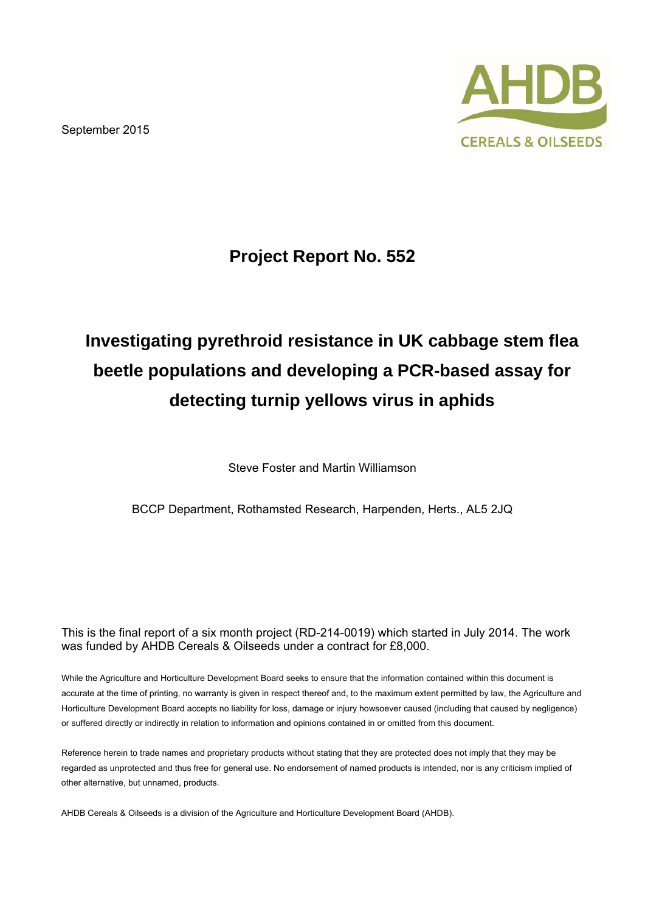September 2015



## **Project Report No. 552**

# **Investigating pyrethroid resistance in UK cabbage stem flea beetle populations and developing a PCR-based assay for detecting turnip yellows virus in aphids**

Steve Foster and Martin Williamson

BCCP Department, Rothamsted Research, Harpenden, Herts., AL5 2JQ

This is the final report of a six month project (RD-214-0019) which started in July 2014. The work was funded by AHDB Cereals & Oilseeds under a contract for £8,000.

While the Agriculture and Horticulture Development Board seeks to ensure that the information contained within this document is accurate at the time of printing, no warranty is given in respect thereof and, to the maximum extent permitted by law, the Agriculture and Horticulture Development Board accepts no liability for loss, damage or injury howsoever caused (including that caused by negligence) or suffered directly or indirectly in relation to information and opinions contained in or omitted from this document.

Reference herein to trade names and proprietary products without stating that they are protected does not imply that they may be regarded as unprotected and thus free for general use. No endorsement of named products is intended, nor is any criticism implied of other alternative, but unnamed, products.

AHDB Cereals & Oilseeds is a division of the Agriculture and Horticulture Development Board (AHDB).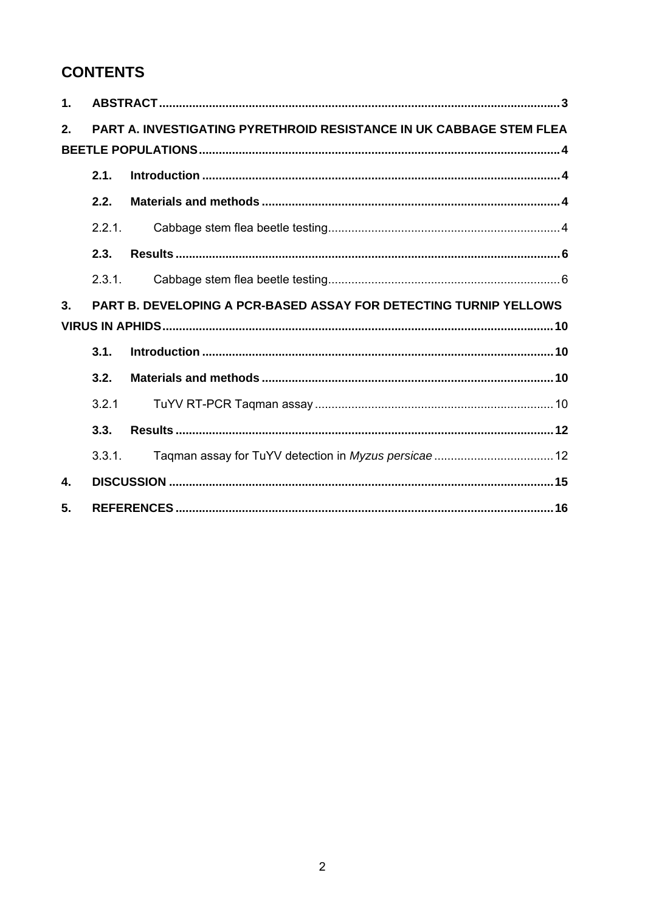## **CONTENTS**

| 1.             |        |                                                                     |
|----------------|--------|---------------------------------------------------------------------|
| 2 <sub>1</sub> |        | PART A. INVESTIGATING PYRETHROID RESISTANCE IN UK CABBAGE STEM FLEA |
|                |        |                                                                     |
|                | 2.1.   |                                                                     |
|                | 2.2.   |                                                                     |
|                | 2.2.1. |                                                                     |
|                | 2.3.   |                                                                     |
|                | 2.3.1. |                                                                     |
| 3.             |        | PART B. DEVELOPING A PCR-BASED ASSAY FOR DETECTING TURNIP YELLOWS   |
|                |        |                                                                     |
|                | 3.1.   |                                                                     |
|                | 3.2.   |                                                                     |
|                | 3.2.1  |                                                                     |
|                | 3.3.   |                                                                     |
|                | 3.3.1. |                                                                     |
| 4.             |        |                                                                     |
| 5.             |        |                                                                     |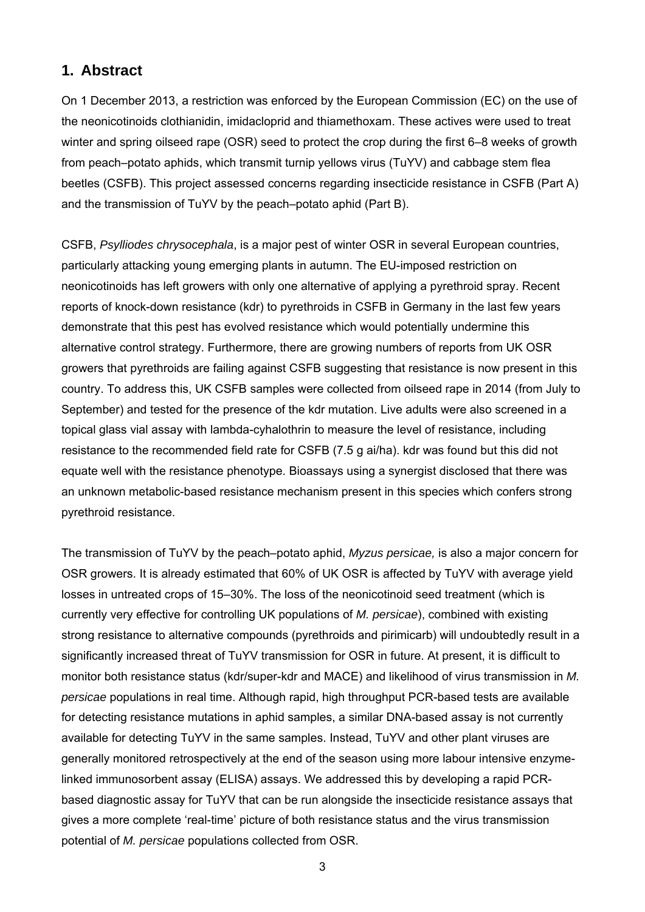## **1. Abstract**

On 1 December 2013, a restriction was enforced by the European Commission (EC) on the use of the neonicotinoids clothianidin, imidacloprid and thiamethoxam. These actives were used to treat winter and spring oilseed rape (OSR) seed to protect the crop during the first 6–8 weeks of growth from peach–potato aphids, which transmit turnip yellows virus (TuYV) and cabbage stem flea beetles (CSFB). This project assessed concerns regarding insecticide resistance in CSFB (Part A) and the transmission of TuYV by the peach–potato aphid (Part B).

CSFB, *Psylliodes chrysocephala*, is a major pest of winter OSR in several European countries, particularly attacking young emerging plants in autumn. The EU-imposed restriction on neonicotinoids has left growers with only one alternative of applying a pyrethroid spray. Recent reports of knock-down resistance (kdr) to pyrethroids in CSFB in Germany in the last few years demonstrate that this pest has evolved resistance which would potentially undermine this alternative control strategy. Furthermore, there are growing numbers of reports from UK OSR growers that pyrethroids are failing against CSFB suggesting that resistance is now present in this country. To address this, UK CSFB samples were collected from oilseed rape in 2014 (from July to September) and tested for the presence of the kdr mutation. Live adults were also screened in a topical glass vial assay with lambda-cyhalothrin to measure the level of resistance, including resistance to the recommended field rate for CSFB (7.5 g ai/ha). kdr was found but this did not equate well with the resistance phenotype. Bioassays using a synergist disclosed that there was an unknown metabolic-based resistance mechanism present in this species which confers strong pyrethroid resistance.

The transmission of TuYV by the peach–potato aphid, *Myzus persicae,* is also a major concern for OSR growers. It is already estimated that 60% of UK OSR is affected by TuYV with average yield losses in untreated crops of 15–30%. The loss of the neonicotinoid seed treatment (which is currently very effective for controlling UK populations of *M. persicae*), combined with existing strong resistance to alternative compounds (pyrethroids and pirimicarb) will undoubtedly result in a significantly increased threat of TuYV transmission for OSR in future. At present, it is difficult to monitor both resistance status (kdr/super-kdr and MACE) and likelihood of virus transmission in *M. persicae* populations in real time. Although rapid, high throughput PCR-based tests are available for detecting resistance mutations in aphid samples, a similar DNA-based assay is not currently available for detecting TuYV in the same samples. Instead, TuYV and other plant viruses are generally monitored retrospectively at the end of the season using more labour intensive enzymelinked immunosorbent assay (ELISA) assays. We addressed this by developing a rapid PCRbased diagnostic assay for TuYV that can be run alongside the insecticide resistance assays that gives a more complete 'real-time' picture of both resistance status and the virus transmission potential of *M. persicae* populations collected from OSR.

3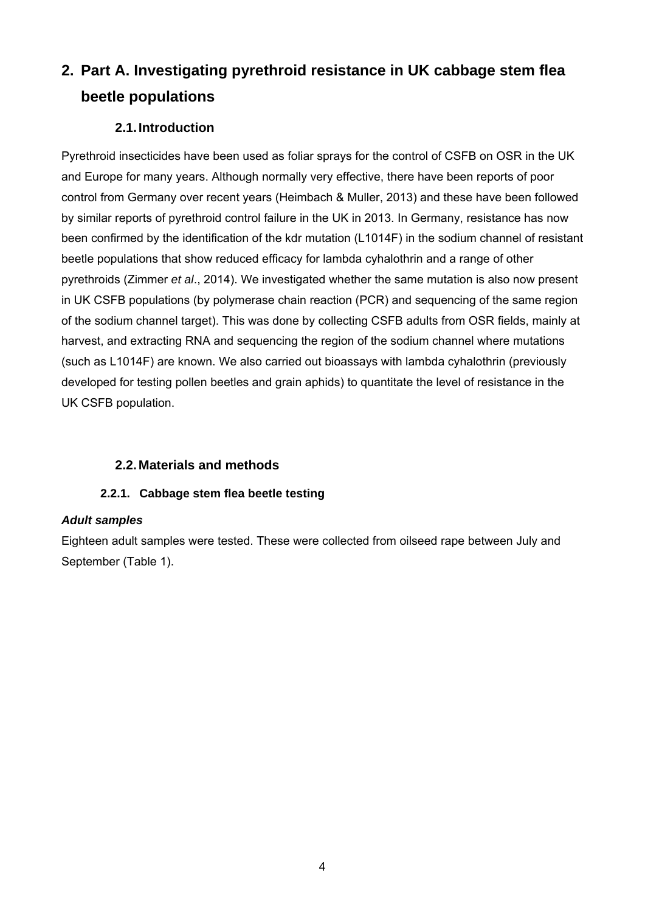## **2. Part A. Investigating pyrethroid resistance in UK cabbage stem flea beetle populations**

### **2.1. Introduction**

Pyrethroid insecticides have been used as foliar sprays for the control of CSFB on OSR in the UK and Europe for many years. Although normally very effective, there have been reports of poor control from Germany over recent years (Heimbach & Muller, 2013) and these have been followed by similar reports of pyrethroid control failure in the UK in 2013. In Germany, resistance has now been confirmed by the identification of the kdr mutation (L1014F) in the sodium channel of resistant beetle populations that show reduced efficacy for lambda cyhalothrin and a range of other pyrethroids (Zimmer *et al*., 2014). We investigated whether the same mutation is also now present in UK CSFB populations (by polymerase chain reaction (PCR) and sequencing of the same region of the sodium channel target). This was done by collecting CSFB adults from OSR fields, mainly at harvest, and extracting RNA and sequencing the region of the sodium channel where mutations (such as L1014F) are known. We also carried out bioassays with lambda cyhalothrin (previously developed for testing pollen beetles and grain aphids) to quantitate the level of resistance in the UK CSFB population.

### **2.2. Materials and methods**

### **2.2.1. Cabbage stem flea beetle testing**

#### *Adult samples*

Eighteen adult samples were tested. These were collected from oilseed rape between July and September (Table 1).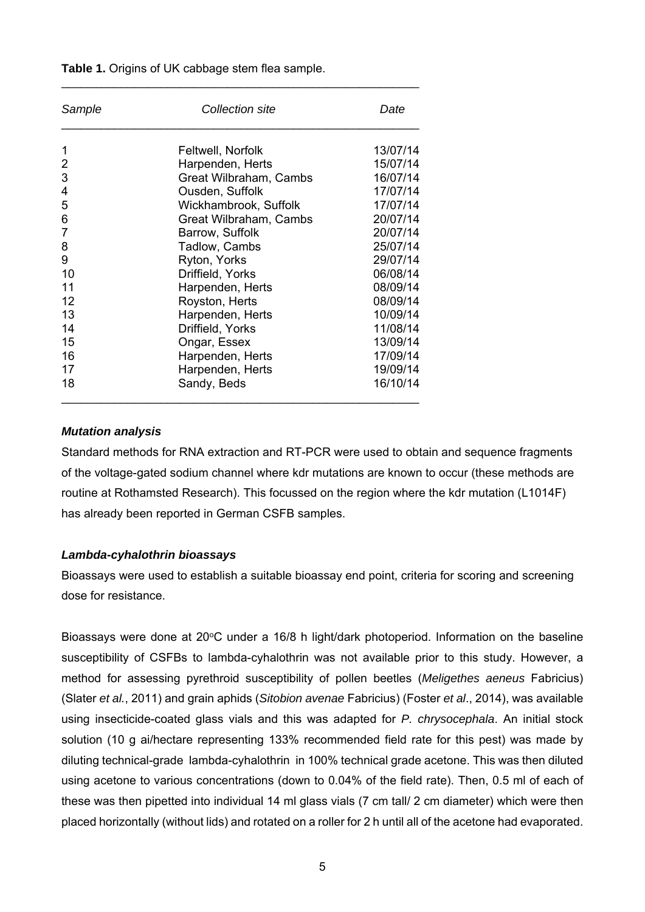| Sample         | Collection site        | Date     |
|----------------|------------------------|----------|
|                | Feltwell, Norfolk      | 13/07/14 |
| $\overline{2}$ | Harpenden, Herts       | 15/07/14 |
| 3              | Great Wilbraham, Cambs | 16/07/14 |
| 4              | Ousden, Suffolk        | 17/07/14 |
| 5              | Wickhambrook, Suffolk  | 17/07/14 |
| 6              | Great Wilbraham, Cambs | 20/07/14 |
| 7              | Barrow, Suffolk        | 20/07/14 |
| 8              | Tadlow, Cambs          | 25/07/14 |
| 9              | Ryton, Yorks           | 29/07/14 |
| 10             | Driffield, Yorks       | 06/08/14 |
| 11             | Harpenden, Herts       | 08/09/14 |
| 12             | Royston, Herts         | 08/09/14 |
| 13             | Harpenden, Herts       | 10/09/14 |
| 14             | Driffield, Yorks       | 11/08/14 |
| 15             | Ongar, Essex           | 13/09/14 |
| 16             | Harpenden, Herts       | 17/09/14 |
| 17             | Harpenden, Herts       | 19/09/14 |
| 18             | Sandy, Beds            | 16/10/14 |

\_\_\_\_\_\_\_\_\_\_\_\_\_\_\_\_\_\_\_\_\_\_\_\_\_\_\_\_\_\_\_\_\_\_\_\_\_\_\_\_\_\_\_\_\_\_\_\_\_\_\_\_\_\_

**Table 1.** Origins of UK cabbage stem flea sample.

#### *Mutation analysis*

Standard methods for RNA extraction and RT-PCR were used to obtain and sequence fragments of the voltage-gated sodium channel where kdr mutations are known to occur (these methods are routine at Rothamsted Research). This focussed on the region where the kdr mutation (L1014F) has already been reported in German CSFB samples.

#### *Lambda-cyhalothrin bioassays*

Bioassays were used to establish a suitable bioassay end point, criteria for scoring and screening dose for resistance.

Bioassays were done at 20°C under a 16/8 h light/dark photoperiod. Information on the baseline susceptibility of CSFBs to lambda-cyhalothrin was not available prior to this study. However, a method for assessing pyrethroid susceptibility of pollen beetles (*Meligethes aeneus* Fabricius) (Slater *et al.*, 2011) and grain aphids (*Sitobion avenae* Fabricius) (Foster *et al*., 2014), was available using insecticide-coated glass vials and this was adapted for *P. chrysocephala*. An initial stock solution (10 g ai/hectare representing 133% recommended field rate for this pest) was made by diluting technical-grade lambda-cyhalothrin in 100% technical grade acetone. This was then diluted using acetone to various concentrations (down to 0.04% of the field rate). Then, 0.5 ml of each of these was then pipetted into individual 14 ml glass vials (7 cm tall/ 2 cm diameter) which were then placed horizontally (without lids) and rotated on a roller for 2 h until all of the acetone had evaporated.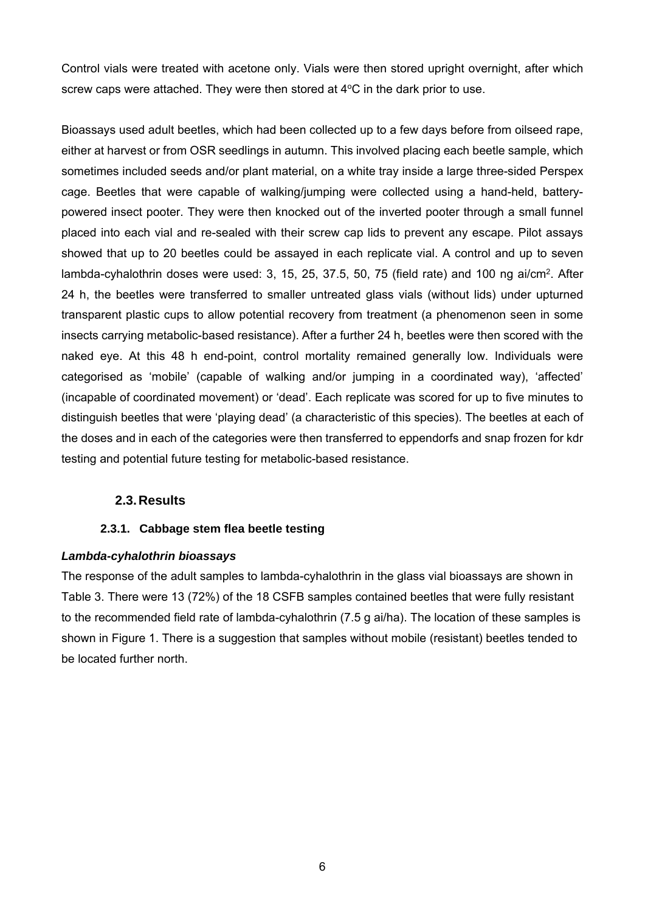Control vials were treated with acetone only. Vials were then stored upright overnight, after which screw caps were attached. They were then stored at  $4^{\circ}$ C in the dark prior to use.

Bioassays used adult beetles, which had been collected up to a few days before from oilseed rape, either at harvest or from OSR seedlings in autumn. This involved placing each beetle sample, which sometimes included seeds and/or plant material, on a white tray inside a large three-sided Perspex cage. Beetles that were capable of walking/jumping were collected using a hand-held, batterypowered insect pooter. They were then knocked out of the inverted pooter through a small funnel placed into each vial and re-sealed with their screw cap lids to prevent any escape. Pilot assays showed that up to 20 beetles could be assayed in each replicate vial. A control and up to seven lambda-cyhalothrin doses were used: 3, 15, 25, 37.5, 50, 75 (field rate) and 100 ng ai/cm<sup>2</sup>. After 24 h, the beetles were transferred to smaller untreated glass vials (without lids) under upturned transparent plastic cups to allow potential recovery from treatment (a phenomenon seen in some insects carrying metabolic-based resistance). After a further 24 h, beetles were then scored with the naked eye. At this 48 h end-point, control mortality remained generally low. Individuals were categorised as 'mobile' (capable of walking and/or jumping in a coordinated way), 'affected' (incapable of coordinated movement) or 'dead'. Each replicate was scored for up to five minutes to distinguish beetles that were 'playing dead' (a characteristic of this species). The beetles at each of the doses and in each of the categories were then transferred to eppendorfs and snap frozen for kdr testing and potential future testing for metabolic-based resistance.

#### **2.3. Results**

#### **2.3.1. Cabbage stem flea beetle testing**

#### *Lambda-cyhalothrin bioassays*

The response of the adult samples to lambda-cyhalothrin in the glass vial bioassays are shown in Table 3. There were 13 (72%) of the 18 CSFB samples contained beetles that were fully resistant to the recommended field rate of lambda-cyhalothrin (7.5 g ai/ha). The location of these samples is shown in Figure 1. There is a suggestion that samples without mobile (resistant) beetles tended to be located further north.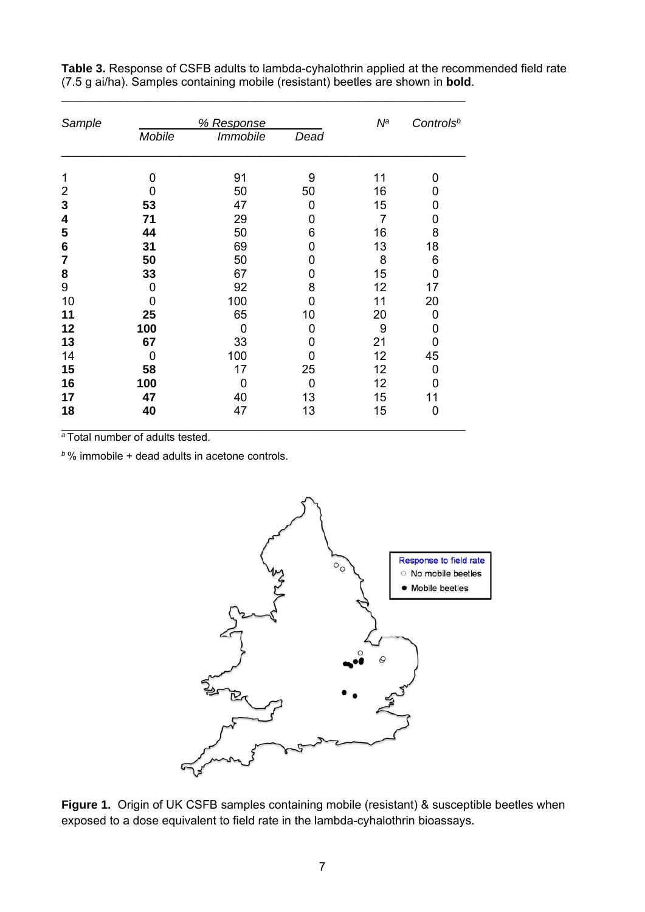| Sample |        | % Response             |                | $N^a$ | Controls <sup>b</sup> |
|--------|--------|------------------------|----------------|-------|-----------------------|
|        | Mobile | <i><b>Immobile</b></i> | Dead           |       |                       |
| 1      | 0      | 91                     | 9              | 11    | 0                     |
| 2      | 0      | 50                     | 50             | 16    | 0                     |
| 3      | 53     | 47                     | 0              | 15    | 0                     |
| 4      | 71     | 29                     | 0              | 7     | 0                     |
| 5      | 44     | 50                     | 6              | 16    | 8                     |
| 6      | 31     | 69                     | 0              | 13    | 18                    |
| 7      | 50     | 50                     | 0              | 8     | 6                     |
| 8      | 33     | 67                     | 0              | 15    | 0                     |
| 9      | 0      | 92                     | 8              | 12    | 17                    |
| 10     | 0      | 100                    | 0              | 11    | 20                    |
| 11     | 25     | 65                     | 10             | 20    | 0                     |
| 12     | 100    | 0                      | 0              | 9     | 0                     |
| 13     | 67     | 33                     | 0              | 21    | 0                     |
| 14     | 0      | 100                    | 0              | 12    | 45                    |
| 15     | 58     | 17                     | 25             | 12    | 0                     |
| 16     | 100    | 0                      | $\overline{0}$ | 12    | 0                     |
| 17     | 47     | 40                     | 13             | 15    | 11                    |
| 18     | 40     | 47                     | 13             | 15    | 0                     |

\_\_\_\_\_\_\_\_\_\_\_\_\_\_\_\_\_\_\_\_\_\_\_\_\_\_\_\_\_\_\_\_\_\_\_\_\_\_\_\_\_\_\_\_\_\_\_\_\_\_\_\_\_\_\_\_\_\_\_\_\_

**Table 3.** Response of CSFB adults to lambda-cyhalothrin applied at the recommended field rate (7.5 g ai/ha). Samples containing mobile (resistant) beetles are shown in **bold**.

*<sup>a</sup>*Total number of adults tested.

*<sup>b</sup>*% immobile + dead adults in acetone controls.



Figure 1. Origin of UK CSFB samples containing mobile (resistant) & susceptible beetles when exposed to a dose equivalent to field rate in the lambda-cyhalothrin bioassays.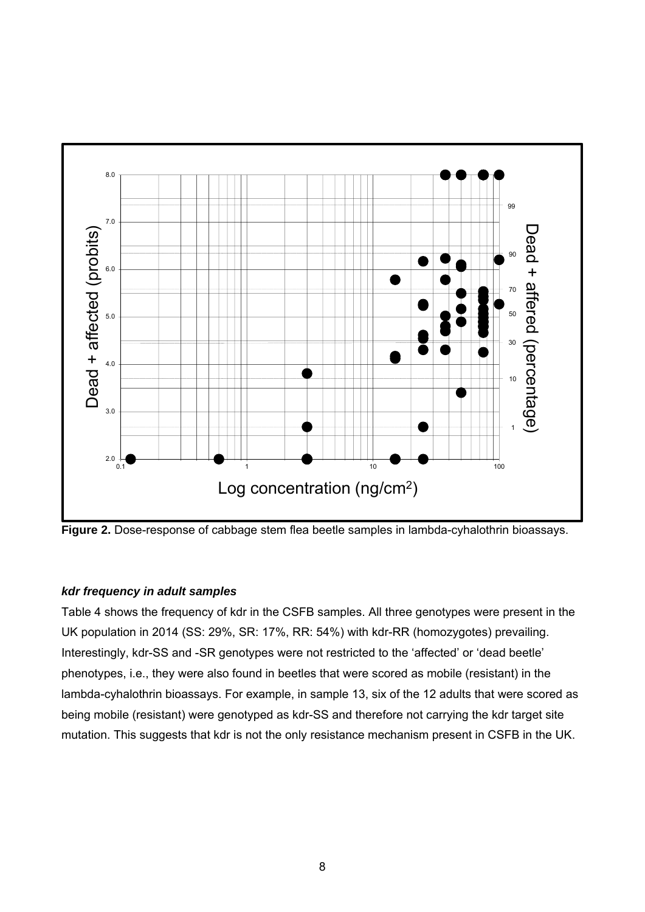

Figure 2. Dose-response of cabbage stem flea beetle samples in lambda-cyhalothrin bioassays.

#### *kdr frequency in adult samples*

Table 4 shows the frequency of kdr in the CSFB samples. All three genotypes were present in the UK population in 2014 (SS: 29%, SR: 17%, RR: 54%) with kdr-RR (homozygotes) prevailing. Interestingly, kdr-SS and -SR genotypes were not restricted to the 'affected' or 'dead beetle' phenotypes, i.e., they were also found in beetles that were scored as mobile (resistant) in the lambda-cyhalothrin bioassays. For example, in sample 13, six of the 12 adults that were scored as being mobile (resistant) were genotyped as kdr-SS and therefore not carrying the kdr target site mutation. This suggests that kdr is not the only resistance mechanism present in CSFB in the UK.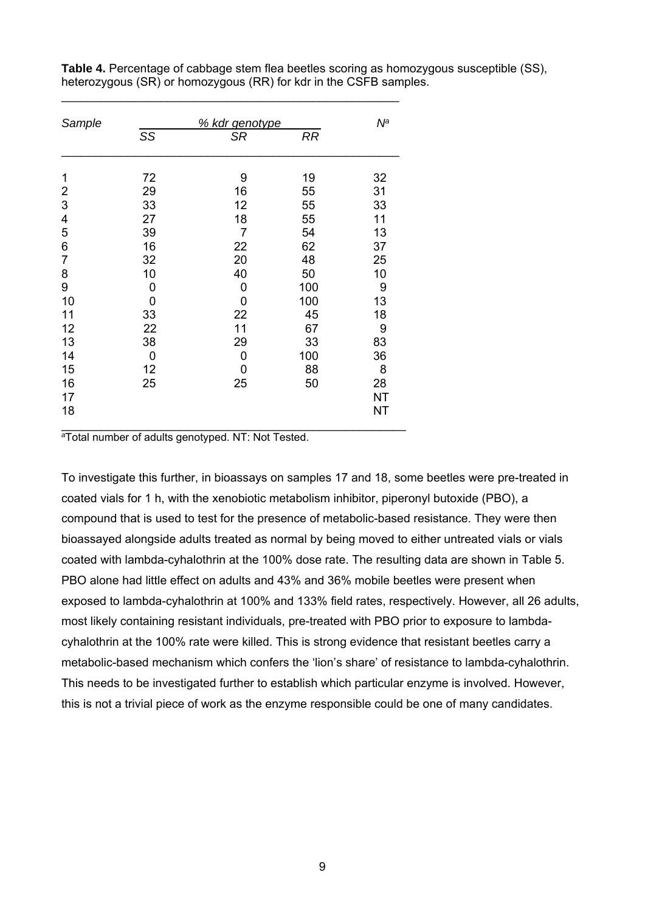| Sample         |    | % kdr genotype |           | Nª        |
|----------------|----|----------------|-----------|-----------|
|                | SS | SR             | <b>RR</b> |           |
| 1              | 72 | 9              | 19        | 32        |
| $\overline{2}$ | 29 | 16             | 55        | 31        |
| 3              | 33 | 12             | 55        | 33        |
| 4              | 27 | 18             | 55        | 11        |
| 5              | 39 | 7              | 54        | 13        |
| 6              | 16 | 22             | 62        | 37        |
| $\overline{7}$ | 32 | 20             | 48        | 25        |
| 8              | 10 | 40             | 50        | 10        |
| 9              | 0  | 0              | 100       | 9         |
| 10             | 0  | 0              | 100       | 13        |
| 11             | 33 | 22             | 45        | 18        |
| 12             | 22 | 11             | 67        | 9         |
| 13             | 38 | 29             | 33        | 83        |
| 14             | 0  | 0              | 100       | 36        |
| 15             | 12 | 0              | 88        | 8         |
| 16             | 25 | 25             | 50        | 28        |
| 17             |    |                |           | <b>NT</b> |
| 18             |    |                |           | <b>NT</b> |
|                |    |                |           |           |

\_\_\_\_\_\_\_\_\_\_\_\_\_\_\_\_\_\_\_\_\_\_\_\_\_\_\_\_\_\_\_\_\_\_\_\_\_\_\_\_\_\_\_\_\_\_\_\_\_\_\_

**Table 4.** Percentage of cabbage stem flea beetles scoring as homozygous susceptible (SS), heterozygous (SR) or homozygous (RR) for kdr in the CSFB samples.

*<sup>a</sup>*Total number of adults genotyped. NT: Not Tested.

To investigate this further, in bioassays on samples 17 and 18, some beetles were pre-treated in coated vials for 1 h, with the xenobiotic metabolism inhibitor, piperonyl butoxide (PBO), a compound that is used to test for the presence of metabolic-based resistance. They were then bioassayed alongside adults treated as normal by being moved to either untreated vials or vials coated with lambda-cyhalothrin at the 100% dose rate. The resulting data are shown in Table 5. PBO alone had little effect on adults and 43% and 36% mobile beetles were present when exposed to lambda-cyhalothrin at 100% and 133% field rates, respectively. However, all 26 adults, most likely containing resistant individuals, pre-treated with PBO prior to exposure to lambdacyhalothrin at the 100% rate were killed. This is strong evidence that resistant beetles carry a metabolic-based mechanism which confers the 'lion's share' of resistance to lambda-cyhalothrin. This needs to be investigated further to establish which particular enzyme is involved. However, this is not a trivial piece of work as the enzyme responsible could be one of many candidates.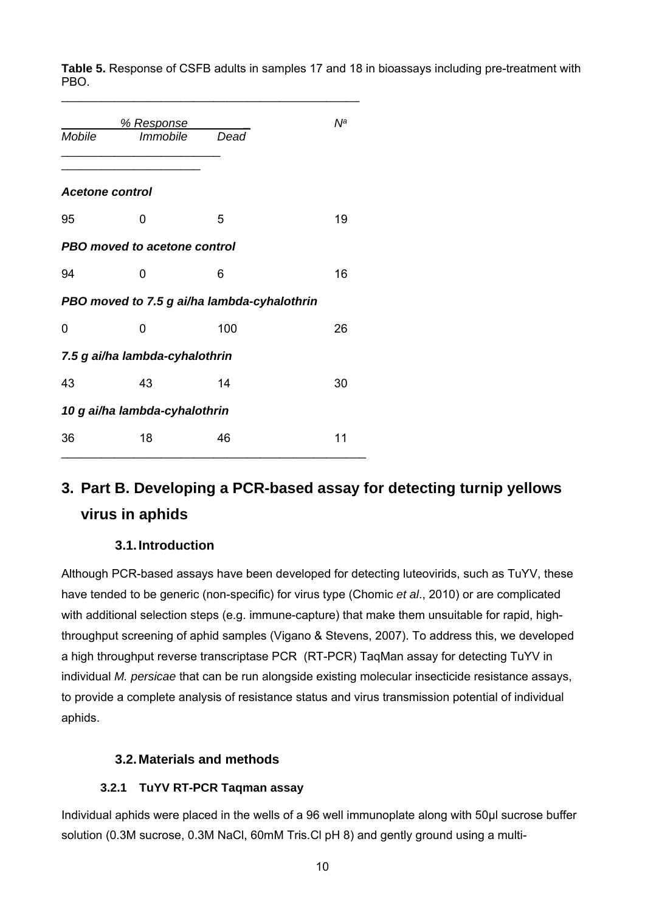**Table 5.** Response of CSFB adults in samples 17 and 18 in bioassays including pre-treatment with PBO.

|                 | <u>% Response</u>                           |      | Νª |
|-----------------|---------------------------------------------|------|----|
| Mobile          | Immobile                                    | Dead |    |
|                 |                                             |      |    |
| Acetone control |                                             |      |    |
| 95              | ი                                           | 5    | 19 |
|                 | PBO moved to acetone control                |      |    |
| 94              | 0                                           | 6    | 16 |
|                 | PBO moved to 7.5 g ai/ha lambda-cyhalothrin |      |    |
| 0               | 0                                           | 100  | 26 |
|                 | 7.5 g ai/ha lambda-cyhalothrin              |      |    |
| 43              | 43                                          | 14   | 30 |
|                 | 10 g ai/ha lambda-cyhalothrin               |      |    |
| 36              | 18                                          | 46   | 11 |

\_\_\_\_\_\_\_\_\_\_\_\_\_\_\_\_\_\_\_\_\_\_\_\_\_\_\_\_\_\_\_\_\_\_\_\_\_\_\_\_\_\_\_\_\_

## **3. Part B. Developing a PCR-based assay for detecting turnip yellows virus in aphids**

### **3.1. Introduction**

Although PCR-based assays have been developed for detecting luteovirids, such as TuYV, these have tended to be generic (non-specific) for virus type (Chomic *et al*., 2010) or are complicated with additional selection steps (e.g. immune-capture) that make them unsuitable for rapid, highthroughput screening of aphid samples (Vigano & Stevens, 2007). To address this, we developed a high throughput reverse transcriptase PCR (RT-PCR) TaqMan assay for detecting TuYV in individual *M. persicae* that can be run alongside existing molecular insecticide resistance assays, to provide a complete analysis of resistance status and virus transmission potential of individual aphids.

#### **3.2. Materials and methods**

#### **3.2.1 TuYV RT-PCR Taqman assay**

Individual aphids were placed in the wells of a 96 well immunoplate along with 50µl sucrose buffer solution (0.3M sucrose, 0.3M NaCl, 60mM Tris.Cl pH 8) and gently ground using a multi-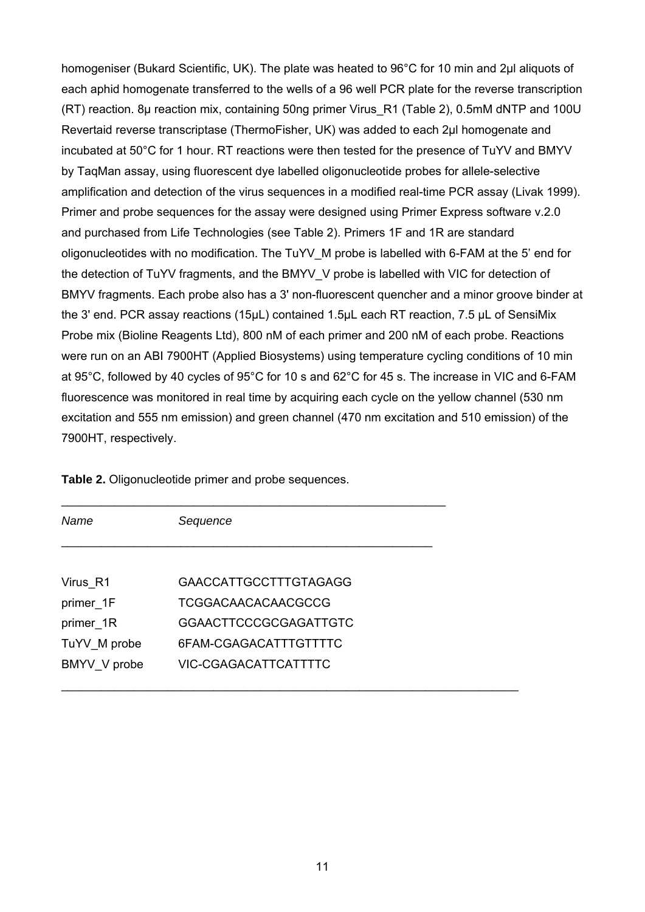homogeniser (Bukard Scientific, UK). The plate was heated to 96°C for 10 min and 2µl aliquots of each aphid homogenate transferred to the wells of a 96 well PCR plate for the reverse transcription (RT) reaction. 8µ reaction mix, containing 50ng primer Virus\_R1 (Table 2), 0.5mM dNTP and 100U Revertaid reverse transcriptase (ThermoFisher, UK) was added to each 2µl homogenate and incubated at 50°C for 1 hour. RT reactions were then tested for the presence of TuYV and BMYV by TaqMan assay, using fluorescent dye labelled oligonucleotide probes for allele-selective amplification and detection of the virus sequences in a modified real-time PCR assay (Livak 1999). Primer and probe sequences for the assay were designed using Primer Express software v.2.0 and purchased from Life Technologies (see Table 2). Primers 1F and 1R are standard oligonucleotides with no modification. The TuYV\_M probe is labelled with 6-FAM at the 5' end for the detection of TuYV fragments, and the BMYV\_V probe is labelled with VIC for detection of BMYV fragments. Each probe also has a 3' non-fluorescent quencher and a minor groove binder at the 3' end. PCR assay reactions (15μL) contained 1.5μL each RT reaction, 7.5 μL of SensiMix Probe mix (Bioline Reagents Ltd), 800 nM of each primer and 200 nM of each probe. Reactions were run on an ABI 7900HT (Applied Biosystems) using temperature cycling conditions of 10 min at 95°C, followed by 40 cycles of 95°C for 10 s and 62°C for 45 s. The increase in VIC and 6-FAM fluorescence was monitored in real time by acquiring each cycle on the yellow channel (530 nm excitation and 555 nm emission) and green channel (470 nm excitation and 510 emission) of the 7900HT, respectively.

| Name         | Sequence                     |  |
|--------------|------------------------------|--|
|              |                              |  |
| Virus R1     | <b>GAACCATTGCCTTTGTAGAGG</b> |  |
| primer 1F    | <b>TCGGACAACACAACGCCG</b>    |  |
| primer 1R    | <b>GGAACTTCCCGCGAGATTGTC</b> |  |
| TuYV_M probe | 6FAM-CGAGACATTTGTTTTC        |  |
| BMYV V probe | VIC-CGAGACATTCATTTTC         |  |
|              |                              |  |

**Table 2.** Oligonucleotide primer and probe sequences.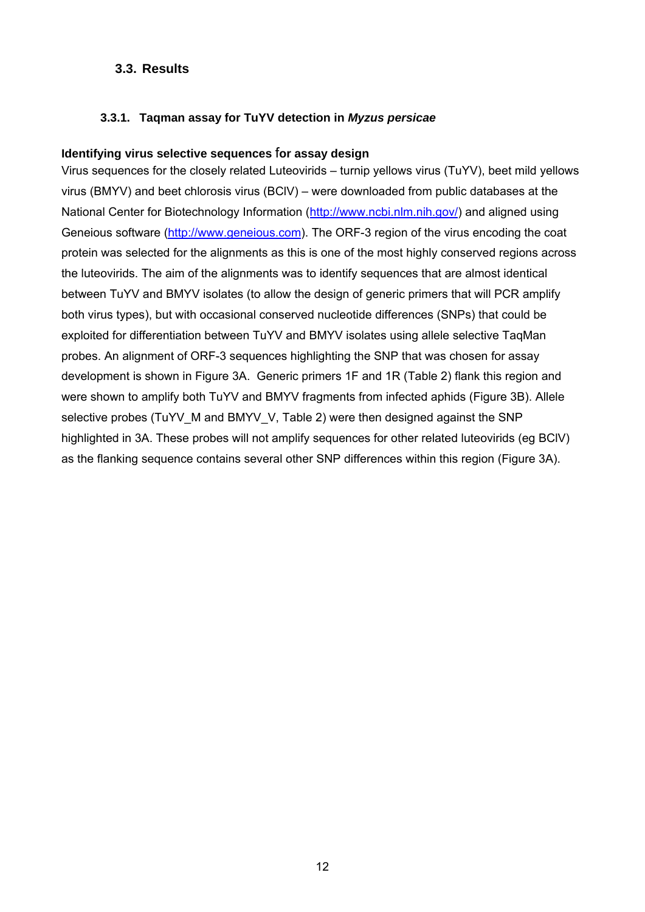#### **3.3. Results**

#### **3.3.1. Taqman assay for TuYV detection in** *Myzus persicae*

#### **Identifying virus selective sequences** f**or assay design**

Virus sequences for the closely related Luteovirids – turnip yellows virus (TuYV), beet mild yellows virus (BMYV) and beet chlorosis virus (BClV) – were downloaded from public databases at the National Center for Biotechnology Information (http://www.ncbi.nlm.nih.gov/) and aligned using Geneious software (http://www.geneious.com). The ORF-3 region of the virus encoding the coat protein was selected for the alignments as this is one of the most highly conserved regions across the luteovirids. The aim of the alignments was to identify sequences that are almost identical between TuYV and BMYV isolates (to allow the design of generic primers that will PCR amplify both virus types), but with occasional conserved nucleotide differences (SNPs) that could be exploited for differentiation between TuYV and BMYV isolates using allele selective TaqMan probes. An alignment of ORF-3 sequences highlighting the SNP that was chosen for assay development is shown in Figure 3A. Generic primers 1F and 1R (Table 2) flank this region and were shown to amplify both TuYV and BMYV fragments from infected aphids (Figure 3B). Allele selective probes (TuYV\_M and BMYV\_V, Table 2) were then designed against the SNP highlighted in 3A. These probes will not amplify sequences for other related luteovirids (eg BClV) as the flanking sequence contains several other SNP differences within this region (Figure 3A).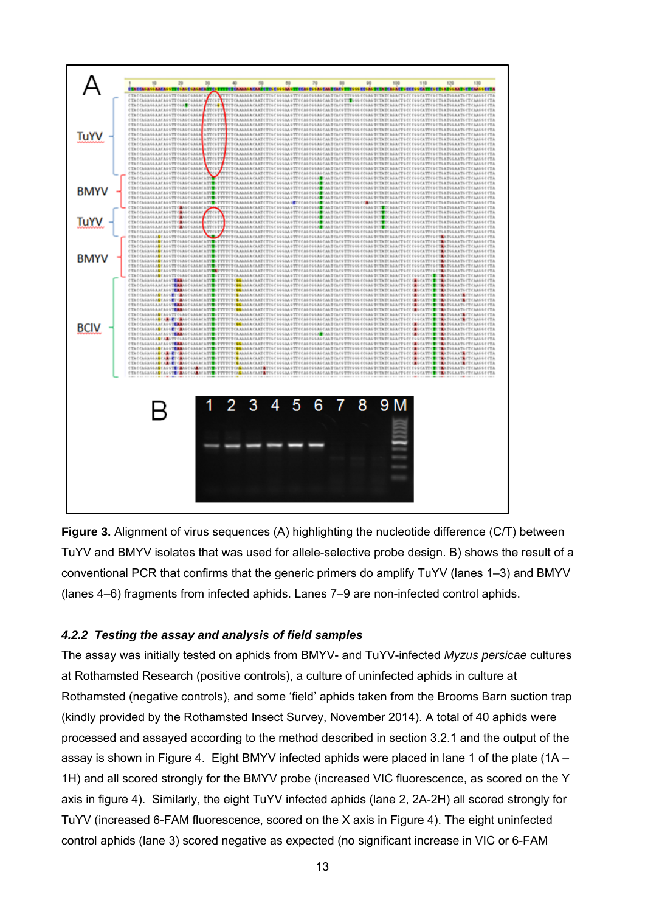

**Figure 3.** Alignment of virus sequences (A) highlighting the nucleotide difference (C/T) between TuYV and BMYV isolates that was used for allele-selective probe design. B) shows the result of a conventional PCR that confirms that the generic primers do amplify TuYV (lanes 1–3) and BMYV (lanes 4–6) fragments from infected aphids. Lanes 7–9 are non-infected control aphids.

#### *4.2.2 Testing the assay and analysis of field samples*

The assay was initially tested on aphids from BMYV- and TuYV-infected *Myzus persicae* cultures at Rothamsted Research (positive controls), a culture of uninfected aphids in culture at Rothamsted (negative controls), and some 'field' aphids taken from the Brooms Barn suction trap (kindly provided by the Rothamsted Insect Survey, November 2014). A total of 40 aphids were processed and assayed according to the method described in section 3.2.1 and the output of the assay is shown in Figure 4. Eight BMYV infected aphids were placed in lane 1 of the plate (1A – 1H) and all scored strongly for the BMYV probe (increased VIC fluorescence, as scored on the Y axis in figure 4). Similarly, the eight TuYV infected aphids (lane 2, 2A-2H) all scored strongly for TuYV (increased 6-FAM fluorescence, scored on the X axis in Figure 4). The eight uninfected control aphids (lane 3) scored negative as expected (no significant increase in VIC or 6-FAM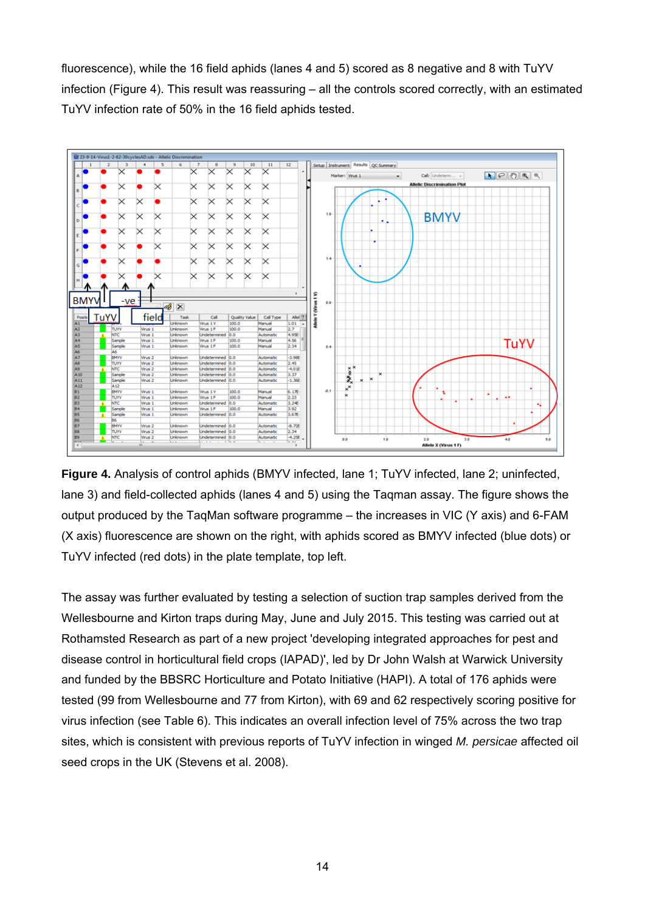fluorescence), while the 16 field aphids (lanes 4 and 5) scored as 8 negative and 8 with TuYV infection (Figure 4). This result was reassuring – all the controls scored correctly, with an estimated TuYV infection rate of 50% in the 16 field aphids tested.



**Figure 4.** Analysis of control aphids (BMYV infected, lane 1; TuYV infected, lane 2; uninfected, lane 3) and field-collected aphids (lanes 4 and 5) using the Taqman assay. The figure shows the output produced by the TaqMan software programme – the increases in VIC (Y axis) and 6-FAM (X axis) fluorescence are shown on the right, with aphids scored as BMYV infected (blue dots) or TuYV infected (red dots) in the plate template, top left.

The assay was further evaluated by testing a selection of suction trap samples derived from the Wellesbourne and Kirton traps during May, June and July 2015. This testing was carried out at Rothamsted Research as part of a new project 'developing integrated approaches for pest and disease control in horticultural field crops (IAPAD)', led by Dr John Walsh at Warwick University and funded by the BBSRC Horticulture and Potato Initiative (HAPI). A total of 176 aphids were tested (99 from Wellesbourne and 77 from Kirton), with 69 and 62 respectively scoring positive for virus infection (see Table 6). This indicates an overall infection level of 75% across the two trap sites, which is consistent with previous reports of TuYV infection in winged *M. persicae* affected oil seed crops in the UK (Stevens et al. 2008).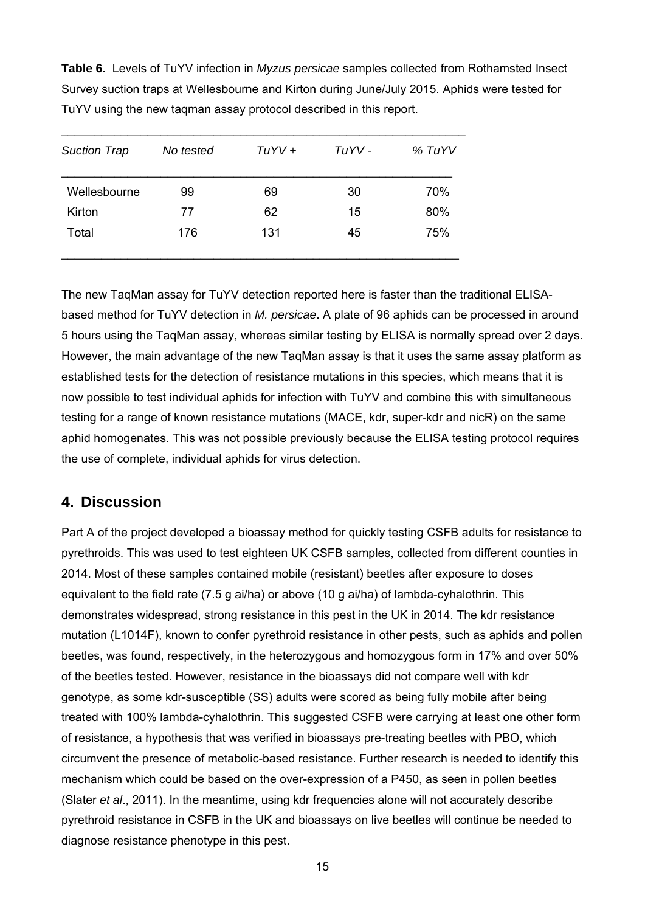**Table 6.** Levels of TuYV infection in *Myzus persicae* samples collected from Rothamsted Insect Survey suction traps at Wellesbourne and Kirton during June/July 2015. Aphids were tested for TuYV using the new taqman assay protocol described in this report.

| 30 | 70% |
|----|-----|
| 15 | 80% |
| 45 | 75% |
|    |     |

The new TaqMan assay for TuYV detection reported here is faster than the traditional ELISAbased method for TuYV detection in *M. persicae*. A plate of 96 aphids can be processed in around 5 hours using the TaqMan assay, whereas similar testing by ELISA is normally spread over 2 days. However, the main advantage of the new TaqMan assay is that it uses the same assay platform as established tests for the detection of resistance mutations in this species, which means that it is now possible to test individual aphids for infection with TuYV and combine this with simultaneous testing for a range of known resistance mutations (MACE, kdr, super-kdr and nicR) on the same aphid homogenates. This was not possible previously because the ELISA testing protocol requires the use of complete, individual aphids for virus detection.

## **4. Discussion**

Part A of the project developed a bioassay method for quickly testing CSFB adults for resistance to pyrethroids. This was used to test eighteen UK CSFB samples, collected from different counties in 2014. Most of these samples contained mobile (resistant) beetles after exposure to doses equivalent to the field rate (7.5 g ai/ha) or above (10 g ai/ha) of lambda-cyhalothrin. This demonstrates widespread, strong resistance in this pest in the UK in 2014. The kdr resistance mutation (L1014F), known to confer pyrethroid resistance in other pests, such as aphids and pollen beetles, was found, respectively, in the heterozygous and homozygous form in 17% and over 50% of the beetles tested. However, resistance in the bioassays did not compare well with kdr genotype, as some kdr-susceptible (SS) adults were scored as being fully mobile after being treated with 100% lambda-cyhalothrin. This suggested CSFB were carrying at least one other form of resistance, a hypothesis that was verified in bioassays pre-treating beetles with PBO, which circumvent the presence of metabolic-based resistance. Further research is needed to identify this mechanism which could be based on the over-expression of a P450, as seen in pollen beetles (Slater *et al*., 2011). In the meantime, using kdr frequencies alone will not accurately describe pyrethroid resistance in CSFB in the UK and bioassays on live beetles will continue be needed to diagnose resistance phenotype in this pest.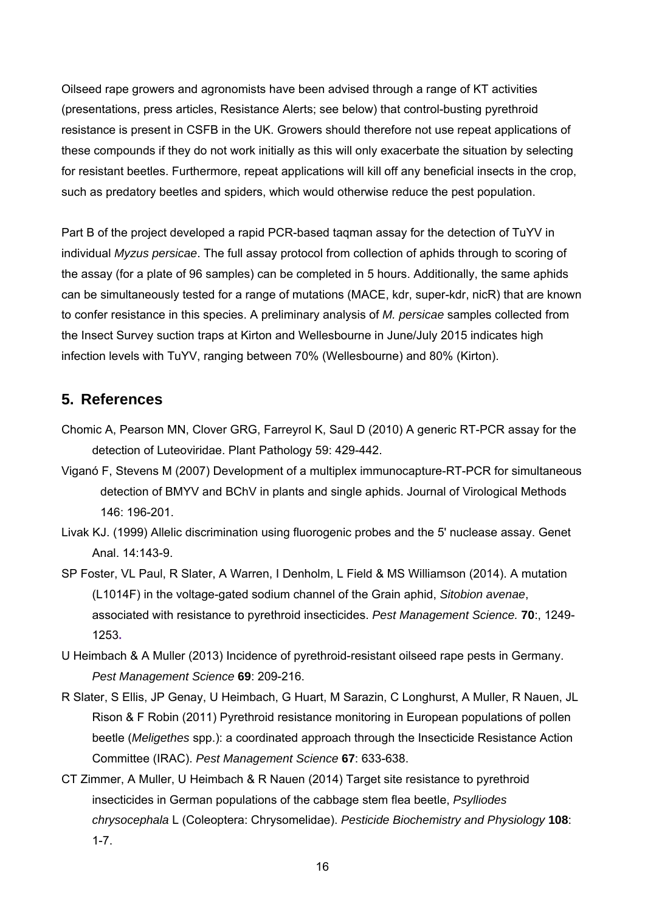Oilseed rape growers and agronomists have been advised through a range of KT activities (presentations, press articles, Resistance Alerts; see below) that control-busting pyrethroid resistance is present in CSFB in the UK. Growers should therefore not use repeat applications of these compounds if they do not work initially as this will only exacerbate the situation by selecting for resistant beetles. Furthermore, repeat applications will kill off any beneficial insects in the crop, such as predatory beetles and spiders, which would otherwise reduce the pest population.

Part B of the project developed a rapid PCR-based taqman assay for the detection of TuYV in individual *Myzus persicae*. The full assay protocol from collection of aphids through to scoring of the assay (for a plate of 96 samples) can be completed in 5 hours. Additionally, the same aphids can be simultaneously tested for a range of mutations (MACE, kdr, super-kdr, nicR) that are known to confer resistance in this species. A preliminary analysis of *M. persicae* samples collected from the Insect Survey suction traps at Kirton and Wellesbourne in June/July 2015 indicates high infection levels with TuYV, ranging between 70% (Wellesbourne) and 80% (Kirton).

## **5. References**

- Chomic A, Pearson MN, Clover GRG, Farreyrol K, Saul D (2010) A generic RT-PCR assay for the detection of Luteoviridae. Plant Pathology 59: 429-442.
- Viganó F, Stevens M (2007) Development of a multiplex immunocapture-RT-PCR for simultaneous detection of BMYV and BChV in plants and single aphids. Journal of Virological Methods 146: 196-201.
- Livak KJ. (1999) Allelic discrimination using fluorogenic probes and the 5' nuclease assay. Genet Anal. 14:143-9.
- SP Foster, VL Paul, R Slater, A Warren, I Denholm, L Field & MS Williamson (2014). A mutation (L1014F) in the voltage-gated sodium channel of the Grain aphid, *Sitobion avenae*, associated with resistance to pyrethroid insecticides. *Pest Management Science.* **70**:, 1249- 1253**.**
- U Heimbach & A Muller (2013) Incidence of pyrethroid-resistant oilseed rape pests in Germany. *Pest Management Science* **69**: 209-216.
- R Slater, S Ellis, JP Genay, U Heimbach, G Huart, M Sarazin, C Longhurst, A Muller, R Nauen, JL Rison & F Robin (2011) Pyrethroid resistance monitoring in European populations of pollen beetle (*Meligethes* spp.): a coordinated approach through the Insecticide Resistance Action Committee (IRAC). *Pest Management Science* **67**: 633-638.
- CT Zimmer, A Muller, U Heimbach & R Nauen (2014) Target site resistance to pyrethroid insecticides in German populations of the cabbage stem flea beetle, *Psylliodes chrysocephala* L (Coleoptera: Chrysomelidae). *Pesticide Biochemistry and Physiology* **108**: 1-7.